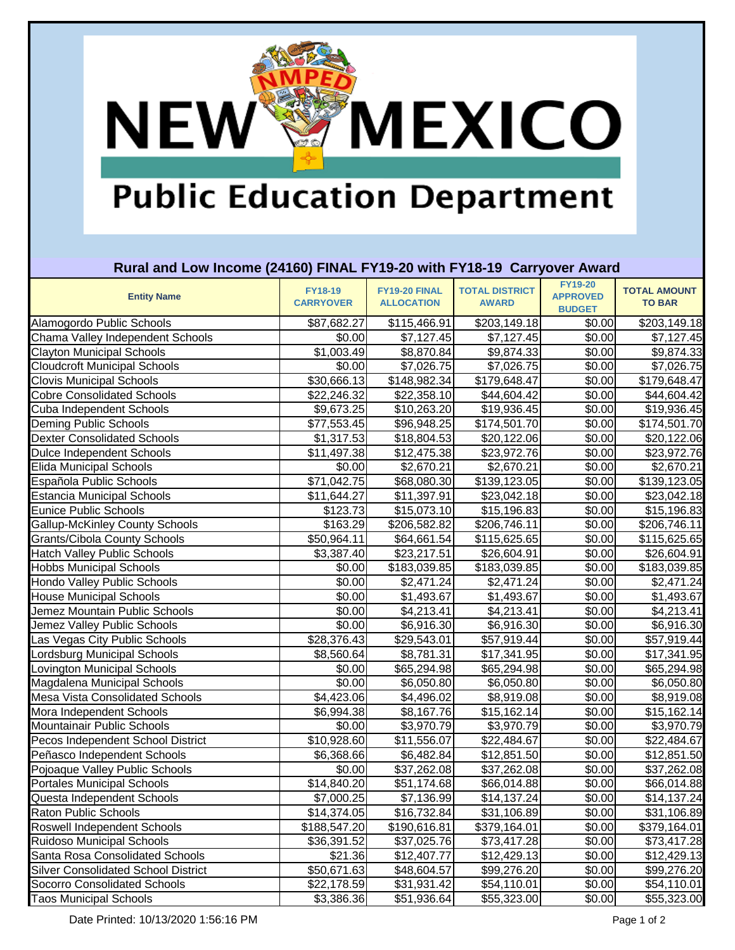# **Public Education Department**

**MEXICO** 

#### **Rural and Low Income (24160) FINAL FY19-20 with FY18-19 Carryover Award**

| <b>Entity Name</b>                         | <b>FY18-19</b><br><b>CARRYOVER</b> | FY19-20 FINAL<br><b>ALLOCATION</b> | <b>TOTAL DISTRICT</b><br><b>AWARD</b> | <b>FY19-20</b><br><b>APPROVED</b><br><b>BUDGET</b> | <b>TOTAL AMOUNT</b><br><b>TO BAR</b> |
|--------------------------------------------|------------------------------------|------------------------------------|---------------------------------------|----------------------------------------------------|--------------------------------------|
| Alamogordo Public Schools                  | \$87,682.27                        | \$115,466.91                       | \$203,149.18                          | \$0.00                                             | \$203,149.18                         |
| Chama Valley Independent Schools           | $\sqrt{$0.00}$                     | \$7,127.45                         | \$7,127.45                            | \$0.00                                             | \$7,127.45                           |
| <b>Clayton Municipal Schools</b>           | \$1,003.49                         | \$8,870.84                         | \$9,874.33                            | \$0.00                                             | \$9,874.33                           |
| <b>Cloudcroft Municipal Schools</b>        | \$0.00                             | \$7,026.75                         | \$7,026.75                            | \$0.00                                             | \$7,026.75                           |
| <b>Clovis Municipal Schools</b>            | \$30,666.13                        | \$148,982.34                       | \$179,648.47                          | \$0.00                                             | \$179,648.47                         |
| <b>Cobre Consolidated Schools</b>          | \$22,246.32                        | \$22,358.10                        | \$44,604.42                           | \$0.00                                             | \$44,604.42                          |
| Cuba Independent Schools                   | \$9,673.25                         | \$10,263.20                        | \$19,936.45                           | \$0.00                                             | \$19,936.45                          |
| Deming Public Schools                      | \$77,553.45                        | \$96,948.25                        | \$174,501.70                          | \$0.00                                             | \$174,501.70                         |
| <b>Dexter Consolidated Schools</b>         | \$1,317.53                         | \$18,804.53                        | \$20,122.06                           | \$0.00                                             | \$20,122.06                          |
| Dulce Independent Schools                  | \$11,497.38                        | \$12,475.38                        | \$23,972.76                           | \$0.00                                             | \$23,972.76                          |
| <b>Elida Municipal Schools</b>             | \$0.00                             | \$2,670.21                         | $\overline{$}2,670.21$                | \$0.00                                             | \$2,670.21                           |
| Española Public Schools                    | \$71,042.75                        | \$68,080.30                        | \$139,123.05                          | \$0.00                                             | \$139,123.05                         |
| Estancia Municipal Schools                 | \$11,644.27                        | \$11,397.91                        | \$23,042.18                           | \$0.00                                             | \$23,042.18                          |
| Eunice Public Schools                      | \$123.73                           | \$15,073.10                        | \$15,196.83                           | \$0.00                                             | \$15,196.83                          |
| <b>Gallup-McKinley County Schools</b>      | \$163.29                           | \$206,582.82                       | \$206,746.11                          | \$0.00                                             | \$206,746.11                         |
| Grants/Cibola County Schools               | \$50,964.11                        | \$64,661.54                        | \$115,625.65                          | \$0.00                                             | \$115,625.65                         |
| <b>Hatch Valley Public Schools</b>         | \$3,387.40                         | \$23,217.51                        | \$26,604.91                           | \$0.00                                             | \$26,604.91                          |
| <b>Hobbs Municipal Schools</b>             | \$0.00                             | \$183,039.85                       | \$183,039.85                          | \$0.00                                             | \$183,039.85                         |
| Hondo Valley Public Schools                | \$0.00                             | \$2,471.24                         | \$2,471.24                            | \$0.00                                             | \$2,471.24                           |
| <b>House Municipal Schools</b>             | \$0.00                             | \$1,493.67                         | \$1,493.67                            | \$0.00                                             | \$1,493.67                           |
| Jemez Mountain Public Schools              | \$0.00                             | \$4,213.41                         | \$4,213.41                            | \$0.00                                             | \$4,213.41                           |
| Jemez Valley Public Schools                | \$0.00                             | \$6,916.30                         | \$6,916.30                            | \$0.00                                             | \$6,916.30                           |
| Las Vegas City Public Schools              | \$28,376.43                        | \$29,543.01                        | \$57,919.44                           | \$0.00                                             | \$57,919.44                          |
| Lordsburg Municipal Schools                | \$8,560.64                         | \$8,781.31                         | \$17,341.95                           | \$0.00                                             | \$17,341.95                          |
| Lovington Municipal Schools                | \$0.00                             | \$65,294.98                        | \$65,294.98                           | \$0.00                                             | \$65,294.98                          |
| Magdalena Municipal Schools                | \$0.00                             | \$6,050.80                         | \$6,050.80                            | \$0.00                                             | \$6,050.80                           |
| <b>Mesa Vista Consolidated Schools</b>     | \$4,423.06                         | \$4,496.02                         | \$8,919.08                            | \$0.00                                             | \$8,919.08                           |
| Mora Independent Schools                   | \$6,994.38                         | \$8,167.76                         | \$15,162.14                           | \$0.00                                             | \$15,162.14                          |
| Mountainair Public Schools                 | \$0.00                             | \$3,970.79                         | \$3,970.79                            | \$0.00                                             | \$3,970.79                           |
| Pecos Independent School District          | \$10,928.60                        | \$11,556.07                        | \$22,484.67                           | \$0.00                                             | \$22,484.67                          |
| Peñasco Independent Schools                | \$6,368.66                         | \$6,482.84                         | \$12,851.50                           | \$0.00                                             | \$12,851.50                          |
| Pojoaque Valley Public Schools             | \$0.00                             | \$37,262.08                        | \$37,262.08                           | \$0.00                                             | \$37,262.08                          |
| <b>Portales Municipal Schools</b>          | \$14,840.20                        | \$51,174.68                        | \$66,014.88                           | \$0.00                                             | \$66,014.88                          |
| Questa Independent Schools                 | \$7,000.25                         | \$7,136.99                         | \$14,137.24                           | \$0.00                                             | \$14,137.24                          |
| Raton Public Schools                       | \$14,374.05                        | \$16,732.84                        | \$31,106.89                           | \$0.00                                             | \$31,106.89                          |
| Roswell Independent Schools                | \$188,547.20                       | \$190,616.81                       | \$379,164.01                          | \$0.00                                             | \$379,164.01                         |
| <b>Ruidoso Municipal Schools</b>           | \$36,391.52                        | \$37,025.76                        | \$73,417.28                           | \$0.00                                             | \$73,417.28                          |
| Santa Rosa Consolidated Schools            | \$21.36                            | \$12,407.77                        | \$12,429.13                           | \$0.00                                             | \$12,429.13                          |
| <b>Silver Consolidated School District</b> | \$50,671.63                        | \$48,604.57                        | \$99,276.20                           | \$0.00                                             | \$99,276.20                          |
| <b>Socorro Consolidated Schools</b>        | \$22,178.59                        | \$31,931.42                        | \$54,110.01                           | \$0.00                                             | \$54,110.01                          |
| <b>Taos Municipal Schools</b>              | \$3,386.36                         | \$51,936.64                        | \$55,323.00                           | \$0.00                                             | \$55,323.00                          |

Date Printed: 10/13/2020 1:56:16 PM Page 1 of 2

**NEW**